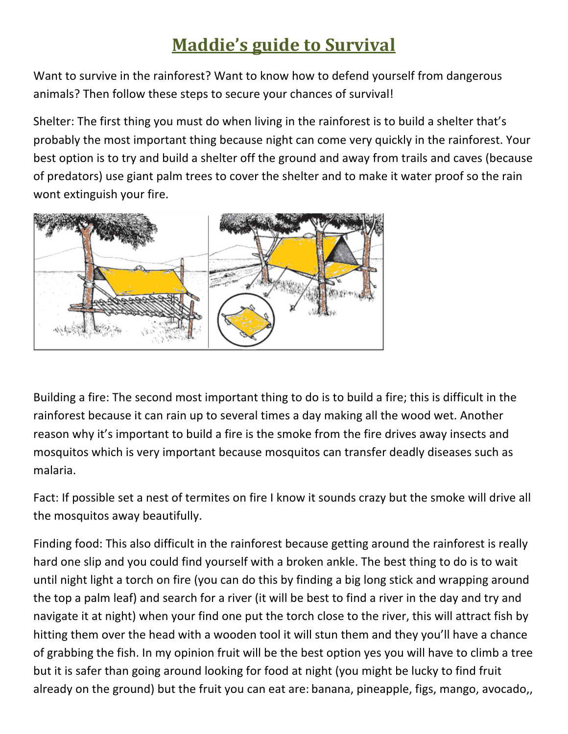## **Maddie's guide to Survival**

Want to survive in the rainforest? Want to know how to defend yourself from dangerous animals? Then follow these steps to secure your chances of survival!

Shelter: The first thing you must do when living in the rainforest is to build a shelter that's probably the most important thing because night can come very quickly in the rainforest. Your best option is to try and build a shelter off the ground and away from trails and caves (because of predators) use giant palm trees to cover the shelter and to make it water proof so the rain wont extinguish your fire.



Building a fire: The second most important thing to do is to build a fire; this is difficult in the rainforest because it can rain up to several times a day making all the wood wet. Another reason why it's important to build a fire is the smoke from the fire drives away insects and mosquitos which is very important because mosquitos can transfer deadly diseases such as malaria.

Fact: If possible set a nest of termites on fire I know it sounds crazy but the smoke will drive all the mosquitos away beautifully.

Finding food: This also difficult in the rainforest because getting around the rainforest is really hard one slip and you could find yourself with a broken ankle. The best thing to do is to wait until night light a torch on fire (you can do this by finding a big long stick and wrapping around the top a palm leaf) and search for a river (it will be best to find a river in the day and try and navigate it at night) when your find one put the torch close to the river, this will attract fish by hitting them over the head with a wooden tool it will stun them and they you'll have a chance of grabbing the fish. In my opinion fruit will be the best option yes you will have to climb a tree but it is safer than going around looking for food at night (you might be lucky to find fruit already on the ground) but the fruit you can eat are: banana, pineapple, figs, mango, avocado,,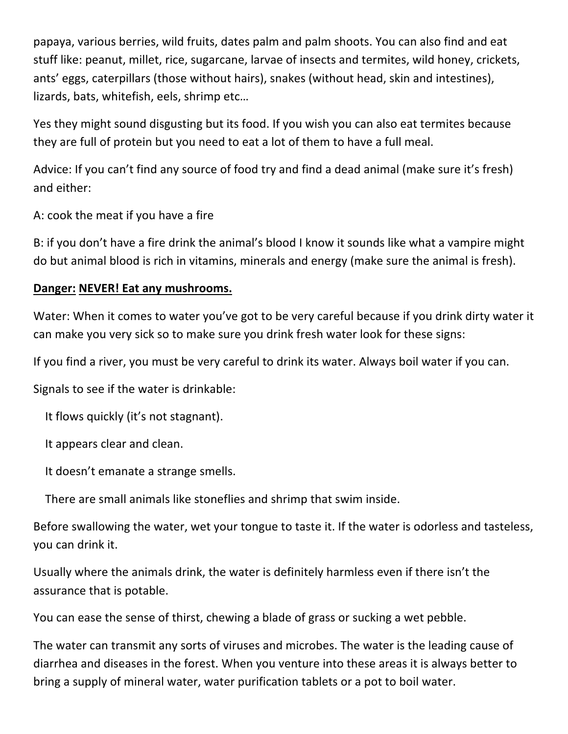papaya, various berries, wild fruits, dates palm and palm shoots. You can also find and eat stuff like: peanut, millet, rice, sugarcane, larvae of insects and termites, wild honey, crickets, ants' eggs, caterpillars (those without hairs), snakes (without head, skin and intestines), lizards, bats, whitefish, eels, shrimp etc…

Yes they might sound disgusting but its food. If you wish you can also eat termites because they are full of protein but you need to eat a lot of them to have a full meal.

Advice: If you can't find any source of food try and find a dead animal (make sure it's fresh) and either:

A: cook the meat if you have a fire

B: if you don't have a fire drink the animal's blood I know it sounds like what a vampire might do but animal blood is rich in vitamins, minerals and energy (make sure the animal is fresh).

## **Danger: NEVER! Eat any mushrooms.**

Water: When it comes to water you've got to be very careful because if you drink dirty water it can make you very sick so to make sure you drink fresh water look for these signs:

If you find a river, you must be very careful to drink its water. Always boil water if you can.

Signals to see if the water is drinkable:

It flows quickly (it's not stagnant).

It appears clear and clean.

It doesn't emanate a strange smells.

There are small animals like stoneflies and shrimp that swim inside.

Before swallowing the water, wet your tongue to taste it. If the water is odorless and tasteless, you can drink it.

Usually where the animals drink, the water is definitely harmless even if there isn't the assurance that is potable.

You can ease the sense of thirst, chewing a blade of grass or sucking a wet pebble.

The water can transmit any sorts of viruses and microbes. The water is the leading cause of diarrhea and diseases in the forest. When you venture into these areas it is always better to bring a supply of mineral water, water purification tablets or a pot to boil water.